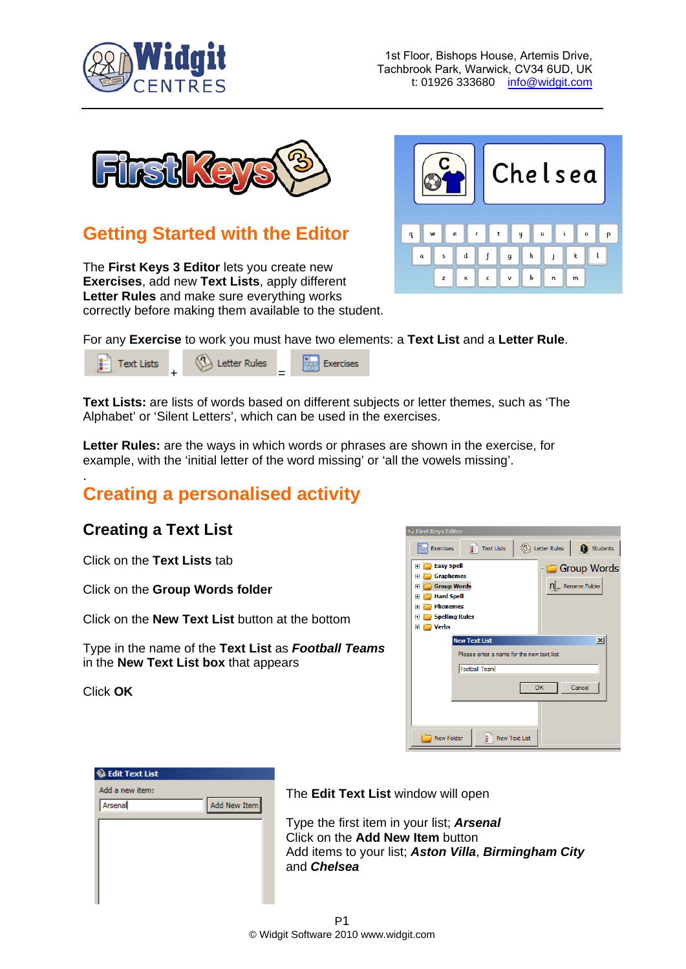



## **Getting Started with the Editor**

The **First Keys 3 Editor** lets you create new **Exercises**, add new **Text Lists**, apply different **Letter Rules** and make sure everything works correctly before making them available to the student.



For any **Exercise** to work you must have two elements: a **Text List** and a **Letter Rule**.

**Text Lists** Exercises + =

**Text Lists:** are lists of words based on different subjects or letter themes, such as 'The Alphabet' or 'Silent Letters', which can be used in the exercises.

**Letter Rules:** are the ways in which words or phrases are shown in the exercise, for example, with the 'initial letter of the word missing' or 'all the vowels missing'.

## . **Creating a personalised activity**

## **Creating a Text List**

Click on the **Text Lists** tab

Click on the **Group Words folder**

Click on the **New Text List** button at the bottom

Type in the name of the **Text List** as *Football Teams* in the **New Text List box** that appears

Click **OK**

| <b>B</b> First Keys Editor                                          |                      |                       |
|---------------------------------------------------------------------|----------------------|-----------------------|
| $\left  \cdot \right $ Text Lists<br><b>Exercises</b><br><b>PRP</b> | (2) Letter Rules     | Students              |
| <b>Easy Spell</b><br>匣                                              |                      | <b>Group Words</b>    |
| <b>Graphemes</b><br>$\overline{+}$                                  |                      |                       |
| <b>Group Words</b><br>$\overline{+}$                                |                      | $n_{-}$ Rename Folder |
| <b>Hard Spell</b><br>ஈ                                              |                      |                       |
| <b>Phonemes</b><br>$\overline{+}$                                   |                      |                       |
| <b>Spelling Rules</b><br>$\overline{+}$                             |                      |                       |
| <b>Verbs</b><br>匣                                                   |                      |                       |
| <b>New Text List</b>                                                |                      | $\vert x \vert$       |
| Please enter a name for the new text list:                          |                      |                       |
|                                                                     |                      |                       |
| Football Team                                                       |                      |                       |
|                                                                     | OK                   | Cancel                |
|                                                                     |                      |                       |
|                                                                     |                      |                       |
| <b>New Folder</b>                                                   | <b>New Text List</b> |                       |

| <b>B</b> Edit Text List |  |              |  |
|-------------------------|--|--------------|--|
| Add a new item:         |  |              |  |
| Arsenal                 |  | Add New Item |  |
|                         |  |              |  |
|                         |  |              |  |
|                         |  |              |  |
|                         |  |              |  |
|                         |  |              |  |
|                         |  |              |  |

The **Edit Text List** window will open

Type the first item in your list; *Arsenal* Click on the **Add New Item** button Add items to your list; *Aston Villa*, *Birmingham City* and *Chelsea*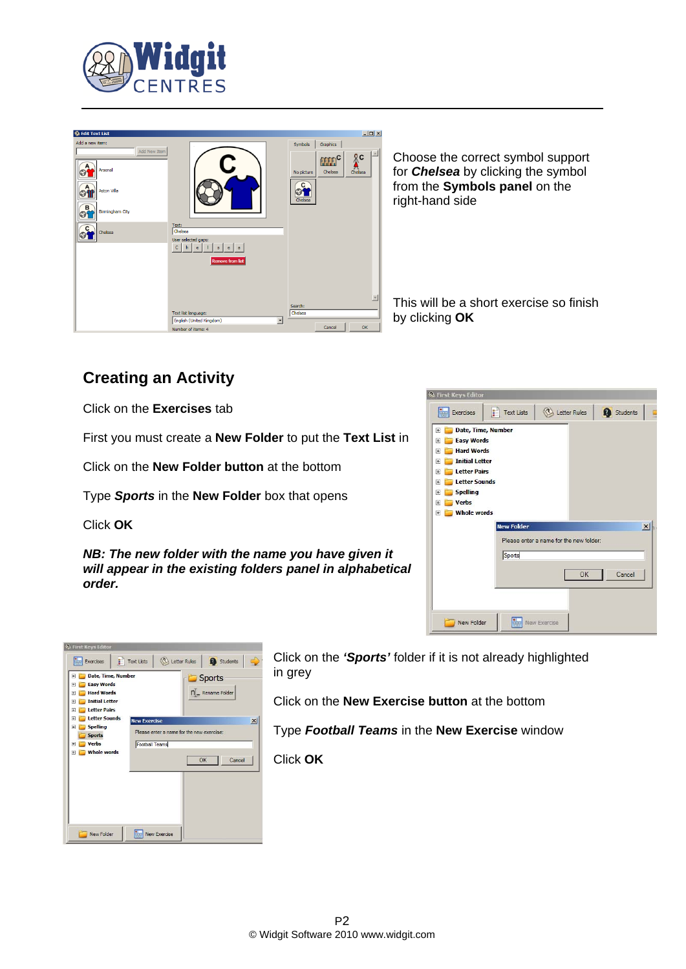



Choose the correct symbol support for *Chelsea* by clicking the symbol from the **Symbols panel** on the right-hand side

This will be a short exercise so finish by clicking **OK**

## **Creating an Activity**

Click on the **Exercises** tab

First you must create a **New Folder** to put the **Text List** in

Click on the **New Folder button** at the bottom

Type *Sports* in the **New Folder** box that opens

Click **OK** 

*NB: The new folder with the name you have given it will appear in the existing folders panel in alphabetical order.* 





Click on the *'Sports'* folder if it is not already highlighted in grey

Click on the **New Exercise button** at the bottom

Type *Football Teams* in the **New Exercise** window

Click **OK**